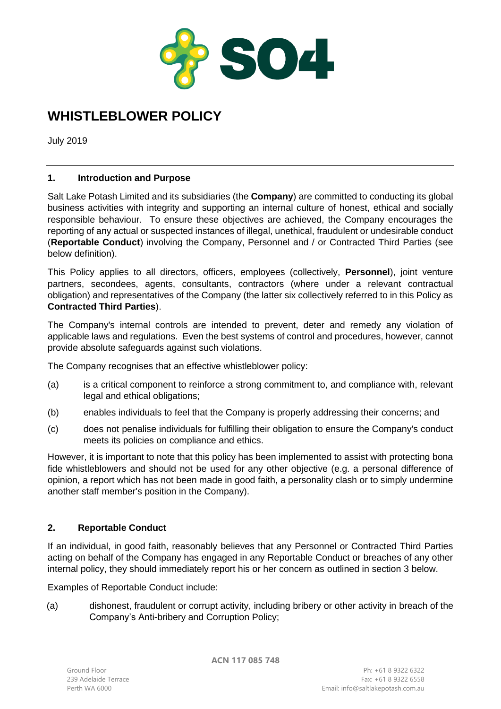

# **WHISTLEBLOWER POLICY**

July 2019

## **1. Introduction and Purpose**

Salt Lake Potash Limited and its subsidiaries (the **Company**) are committed to conducting its global business activities with integrity and supporting an internal culture of honest, ethical and socially responsible behaviour. To ensure these objectives are achieved, the Company encourages the reporting of any actual or suspected instances of illegal, unethical, fraudulent or undesirable conduct (**Reportable Conduct**) involving the Company, Personnel and / or Contracted Third Parties (see below definition).

This Policy applies to all directors, officers, employees (collectively, **Personnel**), joint venture partners, secondees, agents, consultants, contractors (where under a relevant contractual obligation) and representatives of the Company (the latter six collectively referred to in this Policy as **Contracted Third Parties**).

The Company's internal controls are intended to prevent, deter and remedy any violation of applicable laws and regulations. Even the best systems of control and procedures, however, cannot provide absolute safeguards against such violations.

The Company recognises that an effective whistleblower policy:

- (a) is a critical component to reinforce a strong commitment to, and compliance with, relevant legal and ethical obligations;
- (b) enables individuals to feel that the Company is properly addressing their concerns; and
- (c) does not penalise individuals for fulfilling their obligation to ensure the Company's conduct meets its policies on compliance and ethics.

However, it is important to note that this policy has been implemented to assist with protecting bona fide whistleblowers and should not be used for any other objective (e.g. a personal difference of opinion, a report which has not been made in good faith, a personality clash or to simply undermine another staff member's position in the Company).

## **2. Reportable Conduct**

If an individual, in good faith, reasonably believes that any Personnel or Contracted Third Parties acting on behalf of the Company has engaged in any Reportable Conduct or breaches of any other internal policy, they should immediately report his or her concern as outlined in section [3](#page-1-0) below.

Examples of Reportable Conduct include:

(a) dishonest, fraudulent or corrupt activity, including bribery or other activity in breach of the Company's Anti-bribery and Corruption Policy;

**ACN 117 085 748**

Ph: +61 8 9322 6322 Fax: +61 8 9322 6558 Perth WA 6000 Email: info@saltlakepotash.com.au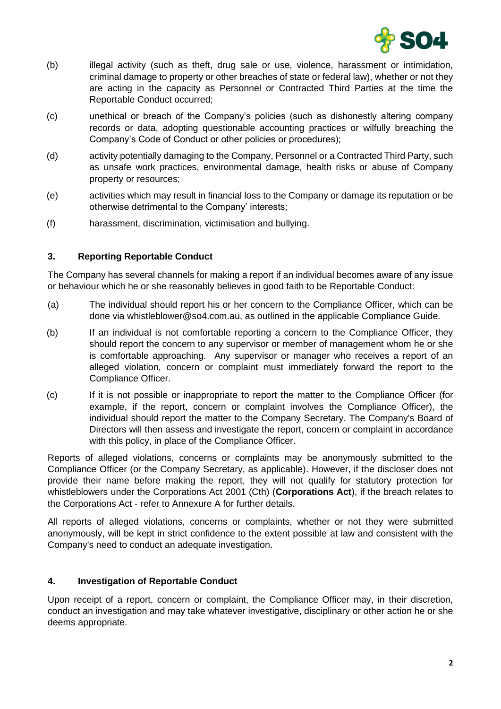

- (b) illegal activity (such as theft, drug sale or use, violence, harassment or intimidation, criminal damage to property or other breaches of state or federal law), whether or not they are acting in the capacity as Personnel or Contracted Third Parties at the time the Reportable Conduct occurred;
- (c) unethical or breach of the Company's policies (such as dishonestly altering company records or data, adopting questionable accounting practices or wilfully breaching the Company's Code of Conduct or other policies or procedures);
- (d) activity potentially damaging to the Company, Personnel or a Contracted Third Party, such as unsafe work practices, environmental damage, health risks or abuse of Company property or resources;
- (e) activities which may result in financial loss to the Company or damage its reputation or be otherwise detrimental to the Company' interests;
- (f) harassment, discrimination, victimisation and bullying.

## <span id="page-1-0"></span>**3. Reporting Reportable Conduct**

The Company has several channels for making a report if an individual becomes aware of any issue or behaviour which he or she reasonably believes in good faith to be Reportable Conduct:

- (a) The individual should report his or her concern to the Compliance Officer, which can be done via whistleblower@so4.com.au, as outlined in the applicable Compliance Guide.
- (b) If an individual is not comfortable reporting a concern to the Compliance Officer, they should report the concern to any supervisor or member of management whom he or she is comfortable approaching. Any supervisor or manager who receives a report of an alleged violation, concern or complaint must immediately forward the report to the Compliance Officer.
- (c) If it is not possible or inappropriate to report the matter to the Compliance Officer (for example, if the report, concern or complaint involves the Compliance Officer), the individual should report the matter to the Company Secretary. The Company's Board of Directors will then assess and investigate the report, concern or complaint in accordance with this policy, in place of the Compliance Officer.

Reports of alleged violations, concerns or complaints may be anonymously submitted to the Compliance Officer (or the Company Secretary, as applicable). However, if the discloser does not provide their name before making the report, they will not qualify for statutory protection for whistleblowers under the Corporations Act 2001 (Cth) (**Corporations Act**), if the breach relates to the Corporations Act - refer to Annexure A for further details.

All reports of alleged violations, concerns or complaints, whether or not they were submitted anonymously, will be kept in strict confidence to the extent possible at law and consistent with the Company's need to conduct an adequate investigation.

#### **4. Investigation of Reportable Conduct**

Upon receipt of a report, concern or complaint, the Compliance Officer may, in their discretion, conduct an investigation and may take whatever investigative, disciplinary or other action he or she deems appropriate.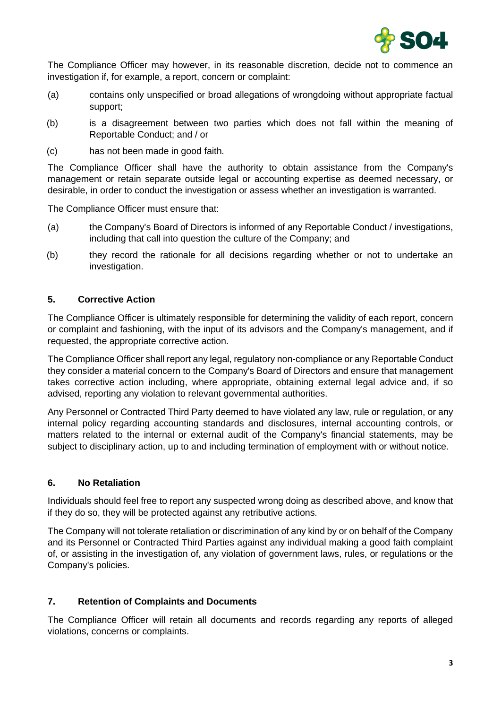

The Compliance Officer may however, in its reasonable discretion, decide not to commence an investigation if, for example, a report, concern or complaint:

- (a) contains only unspecified or broad allegations of wrongdoing without appropriate factual support;
- (b) is a disagreement between two parties which does not fall within the meaning of Reportable Conduct; and / or
- (c) has not been made in good faith.

The Compliance Officer shall have the authority to obtain assistance from the Company's management or retain separate outside legal or accounting expertise as deemed necessary, or desirable, in order to conduct the investigation or assess whether an investigation is warranted.

The Compliance Officer must ensure that:

- (a) the Company's Board of Directors is informed of any Reportable Conduct / investigations, including that call into question the culture of the Company; and
- (b) they record the rationale for all decisions regarding whether or not to undertake an investigation.

## **5. Corrective Action**

The Compliance Officer is ultimately responsible for determining the validity of each report, concern or complaint and fashioning, with the input of its advisors and the Company's management, and if requested, the appropriate corrective action.

The Compliance Officer shall report any legal, regulatory non-compliance or any Reportable Conduct they consider a material concern to the Company's Board of Directors and ensure that management takes corrective action including, where appropriate, obtaining external legal advice and, if so advised, reporting any violation to relevant governmental authorities.

Any Personnel or Contracted Third Party deemed to have violated any law, rule or regulation, or any internal policy regarding accounting standards and disclosures, internal accounting controls, or matters related to the internal or external audit of the Company's financial statements, may be subject to disciplinary action, up to and including termination of employment with or without notice.

#### **6. No Retaliation**

Individuals should feel free to report any suspected wrong doing as described above, and know that if they do so, they will be protected against any retributive actions.

The Company will not tolerate retaliation or discrimination of any kind by or on behalf of the Company and its Personnel or Contracted Third Parties against any individual making a good faith complaint of, or assisting in the investigation of, any violation of government laws, rules, or regulations or the Company's policies.

#### **7. Retention of Complaints and Documents**

The Compliance Officer will retain all documents and records regarding any reports of alleged violations, concerns or complaints.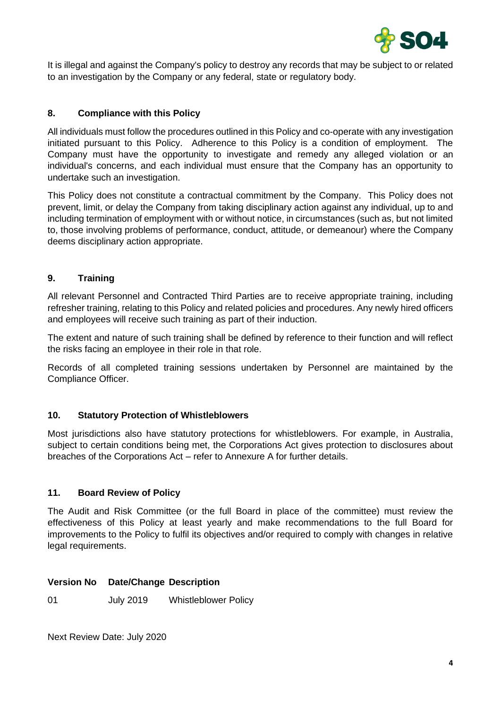

It is illegal and against the Company's policy to destroy any records that may be subject to or related to an investigation by the Company or any federal, state or regulatory body.

## **8. Compliance with this Policy**

All individuals must follow the procedures outlined in this Policy and co-operate with any investigation initiated pursuant to this Policy. Adherence to this Policy is a condition of employment. The Company must have the opportunity to investigate and remedy any alleged violation or an individual's concerns, and each individual must ensure that the Company has an opportunity to undertake such an investigation.

This Policy does not constitute a contractual commitment by the Company. This Policy does not prevent, limit, or delay the Company from taking disciplinary action against any individual, up to and including termination of employment with or without notice, in circumstances (such as, but not limited to, those involving problems of performance, conduct, attitude, or demeanour) where the Company deems disciplinary action appropriate.

## **9. Training**

All relevant Personnel and Contracted Third Parties are to receive appropriate training, including refresher training, relating to this Policy and related policies and procedures. Any newly hired officers and employees will receive such training as part of their induction.

The extent and nature of such training shall be defined by reference to their function and will reflect the risks facing an employee in their role in that role.

Records of all completed training sessions undertaken by Personnel are maintained by the Compliance Officer.

#### **10. Statutory Protection of Whistleblowers**

Most jurisdictions also have statutory protections for whistleblowers. For example, in Australia, subject to certain conditions being met, the Corporations Act gives protection to disclosures about breaches of the Corporations Act – refer to Annexure A for further details.

#### **11. Board Review of Policy**

The Audit and Risk Committee (or the full Board in place of the committee) must review the effectiveness of this Policy at least yearly and make recommendations to the full Board for improvements to the Policy to fulfil its objectives and/or required to comply with changes in relative legal requirements.

#### **Version No Date/Change Description**

01 July 2019 Whistleblower Policy

Next Review Date: July 2020